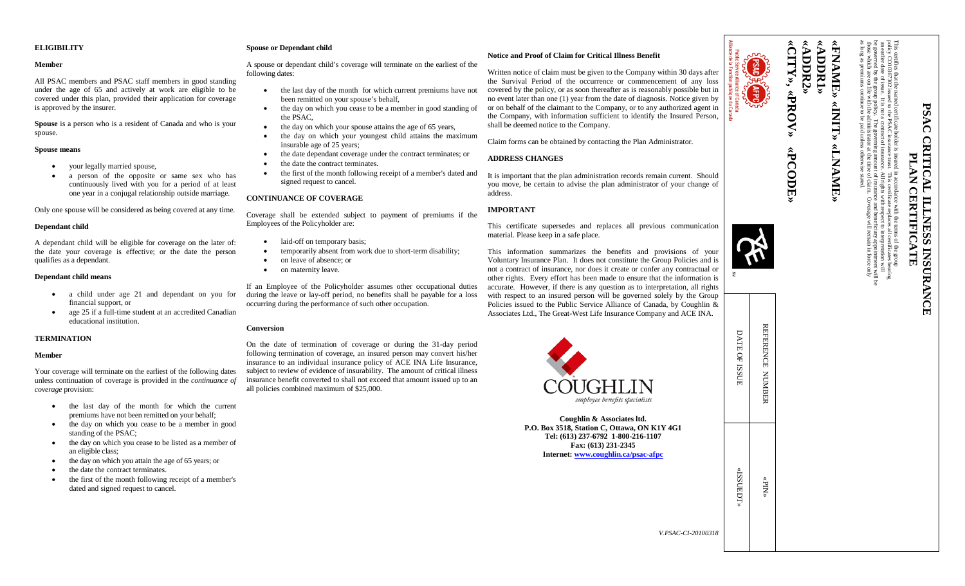## **ELIGIBILITY**

#### **Member**

All PSAC members and PSAC staff members in good standing under the age of 65 and actively at work are eligible to be covered under this plan, provided their application for coverage is approved by the insurer.

**Spouse** is a person who is a resident of Canada and who is your spouse.

#### **Spouse means**

- your legally married spouse,
- a person of the opposite or same sex who has continuously lived with you for a period of at least one year in a conjugal relationship outside marriage.

Only one spouse will be considered as being covered at any time.

### **Dependant child**

A dependant child will be eligible for coverage on the later of: the date your coverage is effective; or the date the person qualifies as a dependant.

### **Dependant child means**

- a child under age 21 and dependant on you for financial support, or
- age 25 if a full-time student at an accredited Canadian educational institution.

### **TERMINATION**

#### **Member**

Your coverage will terminate on the earliest of the following dates unless continuation of coverage is provided in the *continuance of coverage* provision:

- the last day of the month for which the current premiums have not been remitted on your behalf;
- the day on which you cease to be a member in good standing of the PSAC;
- the day on which you cease to be listed as a member of an eligible class;
- the day on which you attain the age of 65 years; or
- the date the contract terminates.
- the first of the month following receipt of a member's dated and signed request to cancel.

## **Spouse or Dependant child**

A spouse or dependant child's coverage will terminate on the earliest of the following dates:

- the last day of the month for which current premiums have not been remitted on your spouse's behalf,
- the day on which you cease to be a member in good standing of the PSAC,
- the day on which your spouse attains the age of 65 years,
- the day on which your youngest child attains the maximum insurable age of 25 years;
- the date dependant coverage under the contract terminates; or
- the date the contract terminates.
- the first of the month following receipt of a member's dated and signed request to cancel.

## **CONTINUANCE OF COVERAGE**

Coverage shall be extended subject to payment of premiums if the Employees of the Policyholder are:

- laid-off on temporary basis;
- temporarily absent from work due to short-term disability;
- on leave of absence: or
- on maternity leave.

If an Employee of the Policyholder assumes other occupational duties during the leave or lay-off period, no benefits shall be payable for a loss occurring during the performance of such other occupation.

### **Conversion**

On the date of termination of coverage or during the 31-day period following termination of coverage, an insured person may convert his/her insurance to an individual insurance policy of ACE INA Life Insurance, subject to review of evidence of insurability. The amount of critical illness insurance benefit converted to shall not exceed that amount issued up to an all policies combined maximum of \$25,000.

## **Notice and Proof of Claim for Critical Illness Benefit**

Written notice of claim must be given to the Company within 30 days after the Survival Period of the occurrence or commencement of any loss covered by the policy, or as soon thereafter as is reasonably possible but in no event later than one (1) year from the date of diagnosis. Notice given by or on behalf of the claimant to the Company, or to any authorized agent in the Company, with information sufficient to identify the Insured Person, shall be deemed notice to the Company.

Claim forms can be obtained by contacting the Plan Administrator.

## **ADDRESS CHANGES**

It is important that the plan administration records remain current. Should you move, be certain to advise the plan administrator of your change of address.

# **IMPORTANT**

This certificate supersedes and replaces all previous communication material. Please keep in a safe place.

This information summarizes the benefits and provisions of your Voluntary Insurance Plan. It does not constitute the Group Policies and is not a contract of insurance, nor does it create or confer any contractual or other rights. Every effort has been made to ensure that the information is accurate. However, if there is any question as to interpretation, all rights with respect to an insured person will be governed solely by the Group Policies issued to the Public Service Alliance of Canada, by Coughlin Associates Ltd., The Great-West Life Insurance Company and ACE INA.



**Coughlin & Associates ltd. P.O. Box 3518, Station C, Ottawa, ON K1Y 4G1 Tel: (613) 237-6792 1-800-216-1107 Fax: (613) 231-2345 Internet: [www.coughlin.ca/psac-afpc](http://www.coughlin.ca/psac-afpc)**



**«CITY» «ADDR2» «ADDR1»**

«ADDR2» «ADDR1» «FNAME»





| $\bar{\&}$ | DATE OF ISSUE | REFERENCE NUMBER |  |
|------------|---------------|------------------|--|
| 18         | «TGSUEDT»     | «NId»            |  |





as long as premiums continue to be paid unless otherwise stated.

**«FNAME»**

**«INIT»**

**«LNAME»**

**ALNAMIE** 

**PSAC CRITICAL ILLNESS INSURANCE** 

**ILLNESS** 

**INSURANC** 

PSAC

**CRITICA**